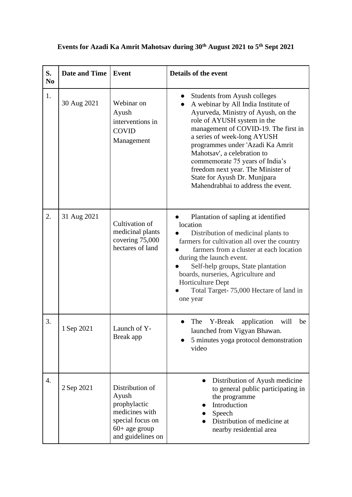| S.<br>N <sub>0</sub> | <b>Date and Time</b> | Event                                                                                                                  | <b>Details of the event</b>                                                                                                                                                                                                                                                                                                                                                                                                               |
|----------------------|----------------------|------------------------------------------------------------------------------------------------------------------------|-------------------------------------------------------------------------------------------------------------------------------------------------------------------------------------------------------------------------------------------------------------------------------------------------------------------------------------------------------------------------------------------------------------------------------------------|
| 1.                   | 30 Aug 2021          | Webinar on<br>Ayush<br>interventions in<br><b>COVID</b><br>Management                                                  | <b>Students from Ayush colleges</b><br>A webinar by All India Institute of<br>Ayurveda, Ministry of Ayush, on the<br>role of AYUSH system in the<br>management of COVID-19. The first in<br>a series of week-long AYUSH<br>programmes under 'Azadi Ka Amrit<br>Mahotsav', a celebration to<br>commemorate 75 years of India's<br>freedom next year. The Minister of<br>State for Ayush Dr. Munjpara<br>Mahendrabhai to address the event. |
| 2.                   | 31 Aug 2021          | Cultivation of<br>medicinal plants<br>covering 75,000<br>hectares of land                                              | Plantation of sapling at identified<br>location<br>Distribution of medicinal plants to<br>farmers for cultivation all over the country<br>farmers from a cluster at each location<br>during the launch event.<br>Self-help groups, State plantation<br>boards, nurseries, Agriculture and<br>Horticulture Dept<br>Total Target- 75,000 Hectare of land in<br>one year                                                                     |
| 3.                   | 1 Sep 2021           | Launch of Y-<br>Break app                                                                                              | The<br>Y-Break<br>application<br>will<br>be<br>launched from Vigyan Bhawan.<br>5 minutes yoga protocol demonstration<br>video                                                                                                                                                                                                                                                                                                             |
| 4.                   | 2 Sep 2021           | Distribution of<br>Ayush<br>prophylactic<br>medicines with<br>special focus on<br>$60+$ age group<br>and guidelines on | Distribution of Ayush medicine<br>to general public participating in<br>the programme<br>Introduction<br>Speech<br>Distribution of medicine at<br>nearby residential area                                                                                                                                                                                                                                                                 |

## **Events for Azadi Ka Amrit Mahotsav during 30th August 2021 to 5th Sept 2021**